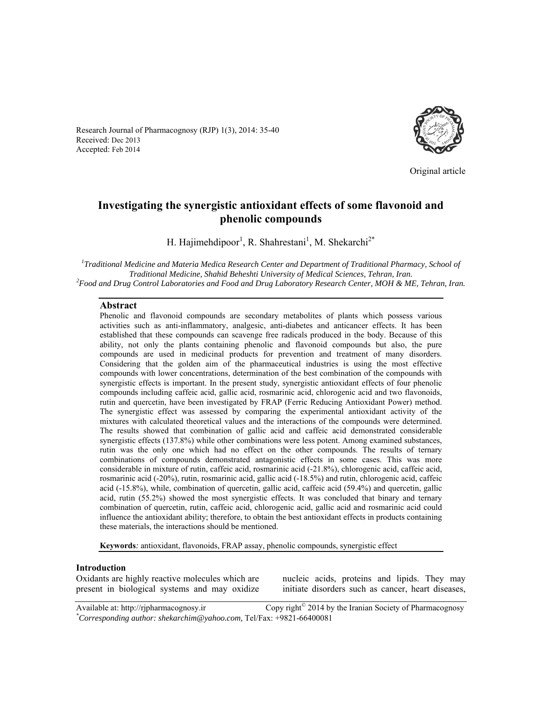Research Journal of Pharmacognosy (RJP) 1(3), 2014: 35-40 Received: Dec 2013 Accepted: Feb 2014



Original article

# **Investigating the synergistic antioxidant effects of some flavonoid and phenolic compounds**

H. Hajimehdipoor<sup>1</sup>, R. Shahrestani<sup>1</sup>, M. Shekarchi<sup>2\*</sup>

*1 Traditional Medicine and Materia Medica Research Center and Department of Traditional Pharmacy, School of Traditional Medicine, Shahid Beheshti University of Medical Sciences, Tehran, Iran. 2 Food and Drug Control Laboratories and Food and Drug Laboratory Research Center, MOH & ME, Tehran, Iran.* 

#### **Abstract**

Phenolic and flavonoid compounds are secondary metabolites of plants which possess various activities such as anti-inflammatory, analgesic, anti-diabetes and anticancer effects. It has been established that these compounds can scavenge free radicals produced in the body. Because of this ability, not only the plants containing phenolic and flavonoid compounds but also, the pure compounds are used in medicinal products for prevention and treatment of many disorders. Considering that the golden aim of the pharmaceutical industries is using the most effective compounds with lower concentrations, determination of the best combination of the compounds with synergistic effects is important. In the present study, synergistic antioxidant effects of four phenolic compounds including caffeic acid, gallic acid, rosmarinic acid, chlorogenic acid and two flavonoids, rutin and quercetin, have been investigated by FRAP (Ferric Reducing Antioxidant Power) method. The synergistic effect was assessed by comparing the experimental antioxidant activity of the mixtures with calculated theoretical values and the interactions of the compounds were determined. The results showed that combination of gallic acid and caffeic acid demonstrated considerable synergistic effects (137.8%) while other combinations were less potent. Among examined substances, rutin was the only one which had no effect on the other compounds. The results of ternary combinations of compounds demonstrated antagonistic effects in some cases. This was more considerable in mixture of rutin, caffeic acid, rosmarinic acid (-21.8%), chlorogenic acid, caffeic acid, rosmarinic acid (-20%), rutin, rosmarinic acid, gallic acid (-18.5%) and rutin, chlorogenic acid, caffeic acid (-15.8%), while, combination of quercetin, gallic acid, caffeic acid (59.4%) and quercetin, gallic acid, rutin (55.2%) showed the most synergistic effects. It was concluded that binary and ternary combination of quercetin, rutin, caffeic acid, chlorogenic acid, gallic acid and rosmarinic acid could influence the antioxidant ability; therefore, to obtain the best antioxidant effects in products containing these materials, the interactions should be mentioned.

**Keywords***:* antioxidant, flavonoids, FRAP assay, phenolic compounds, synergistic effect

#### **Introduction**

Oxidants are highly reactive molecules which are present in biological systems and may oxidize nucleic acids, proteins and lipids. They may initiate disorders such as cancer, heart diseases,

Available at: http://rjpharmacognosy.ir Copy right<sup>©</sup> 2014 by the Iranian Society of Pharmacognosy *\* Corresponding author: shekarchim@yahoo.com,* Tel/Fax: +9821-66400081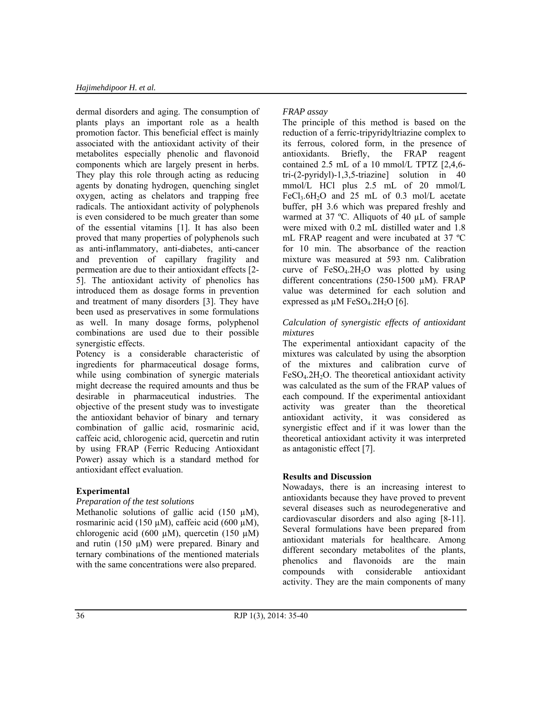dermal disorders and aging. The consumption of plants plays an important role as a health promotion factor. This beneficial effect is mainly associated with the antioxidant activity of their metabolites especially phenolic and flavonoid components which are largely present in herbs. They play this role through acting as reducing agents by donating hydrogen, quenching singlet oxygen, acting as chelators and trapping free radicals. The antioxidant activity of polyphenols is even considered to be much greater than some of the essential vitamins [1]. It has also been proved that many properties of polyphenols such as anti-inflammatory, anti-diabetes, anti-cancer and prevention of capillary fragility and permeation are due to their antioxidant effects [2- 5]. The antioxidant activity of phenolics has introduced them as dosage forms in prevention and treatment of many disorders [3]. They have been used as preservatives in some formulations as well. In many dosage forms, polyphenol combinations are used due to their possible synergistic effects.

Potency is a considerable characteristic of ingredients for pharmaceutical dosage forms, while using combination of synergic materials might decrease the required amounts and thus be desirable in pharmaceutical industries. The objective of the present study was to investigate the antioxidant behavior of binary and ternary combination of gallic acid, rosmarinic acid, caffeic acid, chlorogenic acid, quercetin and rutin by using FRAP (Ferric Reducing Antioxidant Power) assay which is a standard method for antioxidant effect evaluation.

## **Experimental**

### *Preparation of the test solutions*

Methanolic solutions of gallic acid  $(150 \mu M)$ , rosmarinic acid (150  $\mu$ M), caffeic acid (600  $\mu$ M), chlorogenic acid (600  $\mu$ M), quercetin (150  $\mu$ M) and rutin (150  $\mu$ M) were prepared. Binary and ternary combinations of the mentioned materials with the same concentrations were also prepared.

# *FRAP assay*

The principle of this method is based on the reduction of a ferric-tripyridyltriazine complex to its ferrous, colored form, in the presence of antioxidants. Briefly, the FRAP reagent contained 2.5 mL of a 10 mmol/L TPTZ [2,4,6 tri-(2-pyridyl)-1,3,5-triazine] solution in 40 mmol/L HCl plus 2.5 mL of 20 mmol/L  $FeCl<sub>3</sub>.6H<sub>2</sub>O$  and 25 mL of 0.3 mol/L acetate buffer, pH 3.6 which was prepared freshly and warmed at 37 ºC. Alliquots of 40 µL of sample were mixed with 0.2 mL distilled water and 1.8 mL FRAP reagent and were incubated at 37 ºC for 10 min. The absorbance of the reaction mixture was measured at 593 nm. Calibration curve of  $FeSO<sub>4</sub>$ .2H<sub>2</sub>O was plotted by using different concentrations (250-1500 µM). FRAP value was determined for each solution and expressed as  $\mu$ M FeSO<sub>4</sub>.2H<sub>2</sub>O [6].

## *Calculation of synergistic effects of antioxidant mixtures*

The experimental antioxidant capacity of the mixtures was calculated by using the absorption of the mixtures and calibration curve of  $FeSO<sub>4</sub>$ .2H<sub>2</sub>O. The theoretical antioxidant activity was calculated as the sum of the FRAP values of each compound. If the experimental antioxidant activity was greater than the theoretical antioxidant activity, it was considered as synergistic effect and if it was lower than the theoretical antioxidant activity it was interpreted as antagonistic effect [7].

## **Results and Discussion**

Nowadays, there is an increasing interest to antioxidants because they have proved to prevent several diseases such as neurodegenerative and cardiovascular disorders and also aging [8-11]. Several formulations have been prepared from antioxidant materials for healthcare. Among different secondary metabolites of the plants, phenolics and flavonoids are the main compounds with considerable antioxidant activity. They are the main components of many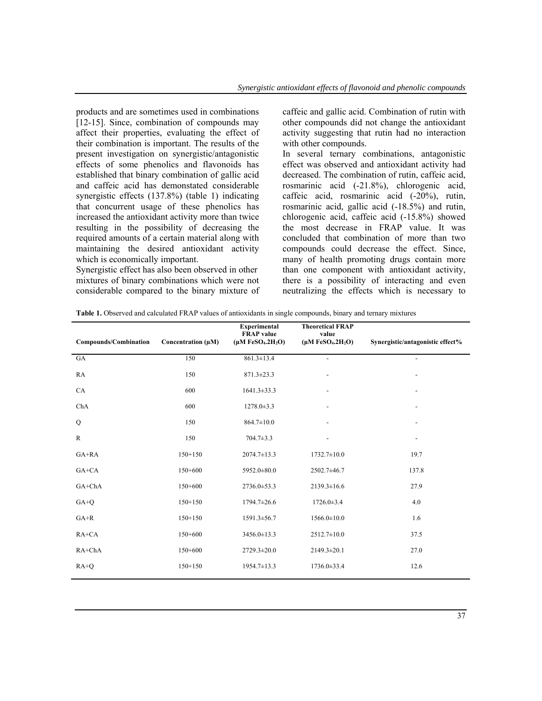products and are sometimes used in combinations [12-15]. Since, combination of compounds may affect their properties, evaluating the effect of their combination is important. The results of the present investigation on synergistic/antagonistic effects of some phenolics and flavonoids has established that binary combination of gallic acid and caffeic acid has demonstated considerable synergistic effects (137.8%) (table 1) indicating that concurrent usage of these phenolics has increased the antioxidant activity more than twice resulting in the possibility of decreasing the required amounts of a certain material along with maintaining the desired antioxidant activity which is economically important.

Synergistic effect has also been observed in other mixtures of binary combinations which were not considerable compared to the binary mixture of caffeic and gallic acid. Combination of rutin with other compounds did not change the antioxidant activity suggesting that rutin had no interaction with other compounds.

In several ternary combinations, antagonistic effect was observed and antioxidant activity had decreased. The combination of rutin, caffeic acid, rosmarinic acid (-21.8%), chlorogenic acid, caffeic acid, rosmarinic acid (-20%), rutin, rosmarinic acid, gallic acid (-18.5%) and rutin, chlorogenic acid, caffeic acid (-15.8%) showed the most decrease in FRAP value. It was concluded that combination of more than two compounds could decrease the effect. Since, many of health promoting drugs contain more than one component with antioxidant activity, there is a possibility of interacting and even neutralizing the effects which is necessary to

| <b>Table 1.</b> Observed and calculated FRAP values of antioxidants in single compounds, binary and ternary mixtures |  |  |
|----------------------------------------------------------------------------------------------------------------------|--|--|
|                                                                                                                      |  |  |

| Compounds/Combination | Concentration (µM) | <b>Experimental</b><br><b>FRAP</b> value<br>$(\mu M FeSO4.2H2O)$ | <b>Theoretical FRAP</b><br>value<br>$(\mu M FeSO4.2H2O)$ | Synergistic/antagonistic effect% |
|-----------------------|--------------------|------------------------------------------------------------------|----------------------------------------------------------|----------------------------------|
| GA                    | 150                | $861.3 \pm 13.4$                                                 | $\overline{\phantom{a}}$                                 | $\overline{\phantom{a}}$         |
| RA                    | 150                | $871.3 \pm 23.3$                                                 |                                                          |                                  |
| CA                    | 600                | $1641.3 \pm 33.3$                                                |                                                          |                                  |
| ChA                   | 600                | $1278.0 \pm 3.3$                                                 | $\qquad \qquad \blacksquare$                             | $\overline{\phantom{a}}$         |
| Q                     | 150                | $864.7 \pm 10.0$                                                 |                                                          |                                  |
| $\mathbb{R}$          | 150                | $704.7 \pm 3.3$                                                  |                                                          |                                  |
| GA+RA                 | $150+150$          | $2074.7 \pm 13.3$                                                | $1732.7 \pm 10.0$                                        | 19.7                             |
| $GA+CA$               | $150+600$          | 5952.0±80.0                                                      | 2502.7±46.7                                              | 137.8                            |
| GA+ChA                | $150+600$          | 2736.0±53.3                                                      | $2139.3 \pm 16.6$                                        | 27.9                             |
| $GA+Q$                | $150 + 150$        | $1794.7 \pm 26.6$                                                | $1726.0 \pm 3.4$                                         | 4.0                              |
| $GA+R$                | $150 + 150$        | $1591.3 \pm 56.7$                                                | $1566.0 \pm 10.0$                                        | 1.6                              |
| $RA+CA$               | $150+600$          | 3456.0±13.3                                                      | $2512.7 \pm 10.0$                                        | 37.5                             |
| $RA+ChA$              | $150+600$          | $2729.3 \pm 20.0$                                                | $2149.3 \pm 20.1$                                        | 27.0                             |
| $RA+Q$                | $150 + 150$        | $1954.7 \pm 13.3$                                                | 1736.0±33.4                                              | 12.6                             |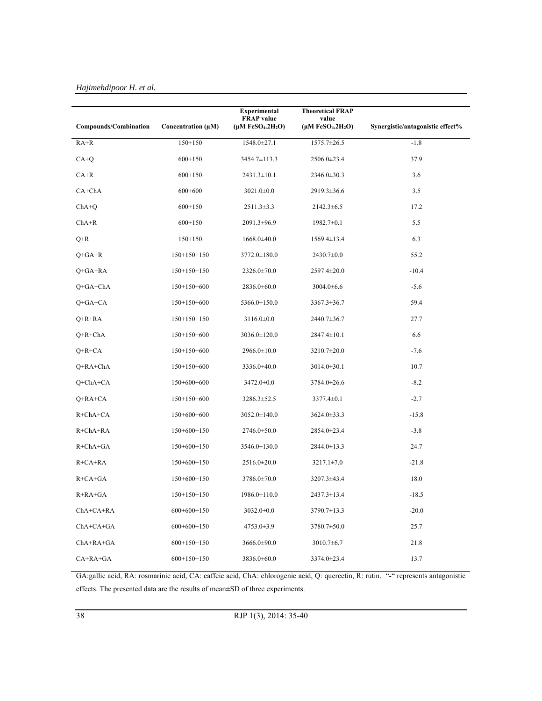|                       |                    | Experimental                                        | <b>Theoretical FRAP</b>       |                                  |
|-----------------------|--------------------|-----------------------------------------------------|-------------------------------|----------------------------------|
| Compounds/Combination | Concentration (µM) | <b>FRAP</b> value<br>$(\mu M \text{ FeSO}_4.2H_2O)$ | value<br>$(\mu M FeSO4.2H2O)$ | Synergistic/antagonistic effect% |
| $RA+R$                | $150 + 150$        | 1548.0±27.1                                         | 1575.7±26.5                   | $-1.8$                           |
| $CA+Q$                | $600+150$          | 3454.7±113.3                                        | 2506.0±23.4                   | 37.9                             |
| $CA+R$                | $600+150$          | $2431.3 \pm 10.1$                                   | 2346.0±30.3                   | 3.6                              |
| $CA+ChA$              | $600+600$          | $3021.0 \pm 0.0$                                    | 2919.3±36.6                   | 3.5                              |
| $ChA+Q$               | $600+150$          | $2511.3 \pm 3.3$                                    | $2142.3 \pm 6.5$              | 17.2                             |
| $ChA+R$               | $600+150$          | 2091.3±96.9                                         | $1982.7 \pm 0.1$              | 5.5                              |
| $Q+R$                 | $150 + 150$        | $1668.0 \pm 40.0$                                   | $1569.4 \pm 13.4$             | 6.3                              |
| $Q + GA + R$          | $150+150+150$      | $3772.0 \pm 180.0$                                  | $2430.7 \pm 0.0$              | 55.2                             |
| $Q + GA + RA$         | $150+150+150$      | 2326.0±70.0                                         | $2597.4 \pm 20.0$             | $-10.4$                          |
| $Q + GA + ChA$        | $150+150+600$      | $2836.0 \pm 60.0$                                   | $3004.0 \pm 6.6$              | $-5.6$                           |
| $Q + GA + CA$         | $150+150+600$      | 5366.0±150.0                                        | $3367.3 \pm 36.7$             | 59.4                             |
| $Q+R+RA$              | $150+150+150$      | $3116.0 \pm 0.0$                                    | 2440.7±36.7                   | 27.7                             |
| $Q+R+ChA$             | 150+150+600        | 3036.0±120.0                                        | $2847.4 \pm 10.1$             | 6.6                              |
| $Q+R+C A$             | 150+150+600        | 2966.0±10.0                                         | $3210.7 \pm 20.0$             | $-7.6$                           |
| Q+RA+ChA              | 150+150+600        | 3336.0±40.0                                         | $3014.0 \pm 30.1$             | 10.7                             |
| Q+ChA+CA              | 150+600+600        | $3472.0 \pm 0.0$                                    | 3784.0±26.6                   | $-8.2$                           |
| $Q+RA+CA$             | 150+150+600        | 3286.3±52.5                                         | $3377.4 \pm 0.1$              | $-2.7$                           |
| $R + ChA + CA$        | 150+600+600        | $3052.0 \pm 140.0$                                  | $3624.0 \pm 33.3$             | $-15.8$                          |
| $R + ChA + RA$        | $150+600+150$      | $2746.0 \pm 50.0$                                   | 2854.0±23.4                   | $-3.8$                           |
| $R + ChA + GA$        | $150+600+150$      | 3546.0±130.0                                        | 2844.0±13.3                   | 24.7                             |
| $R + CA + RA$         | $150+600+150$      | 2516.0±20.0                                         | $3217.1 \pm 7.0$              | $-21.8$                          |
| $R + CA + GA$         | $150+600+150$      | 3786.0±70.0                                         | $3207.3 \pm 43.4$             | 18.0                             |
| R+RA+GA               | $150+150+150$      | 1986.0±110.0                                        | $2437.3 \pm 13.4$             | $-18.5$                          |
| $ChA+CA+RA$           | $600+600+150$      | $3032.0 \pm 0.0$                                    | 3790.7±13.3                   | $-20.0$                          |
| $ChA+CA+GA$           | $600+600+150$      | $4753.0 \pm 3.9$                                    | 3780.7±50.0                   | 25.7                             |
| $ChA+RA+GA$           | $600+150+150$      | 3666.0±90.0                                         | $3010.7 \pm 6.7$              | 21.8                             |
| $CA+RA+GA$            | $600+150+150$      | 3836.0±60.0                                         | 3374.0±23.4                   | 13.7                             |

# *Hajimehdipoor H. et al.*

GA:gallic acid, RA: rosmarinic acid, CA: caffeic acid, ChA: chlorogenic acid, Q: quercetin, R: rutin. "-" represents antagonistic effects. The presented data are the results of mean±SD of three experiments.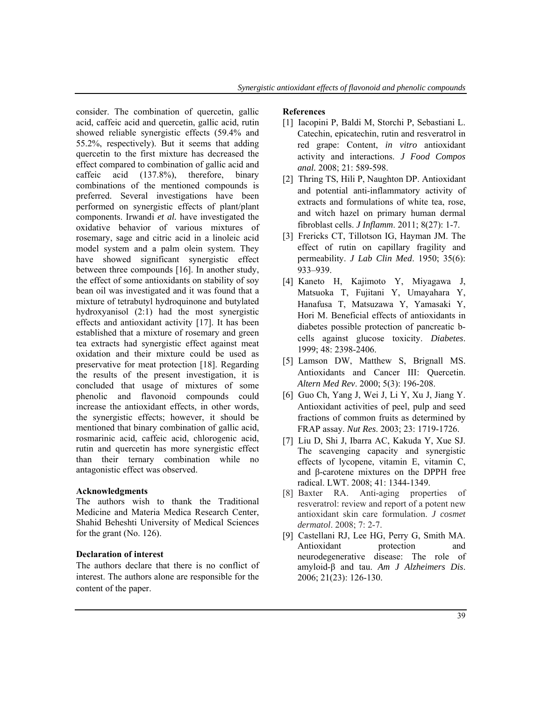consider. The combination of quercetin, gallic acid, caffeic acid and quercetin, gallic acid, rutin showed reliable synergistic effects (59.4% and 55.2%, respectively). But it seems that adding quercetin to the first mixture has decreased the effect compared to combination of gallic acid and caffeic acid (137.8%), therefore, binary combinations of the mentioned compounds is preferred. Several investigations have been performed on synergistic effects of plant/plant components. Irwandi *et al.* have investigated the oxidative behavior of various mixtures of rosemary, sage and citric acid in a linoleic acid model system and a palm olein system. They have showed significant synergistic effect between three compounds [16]. In another study, the effect of some antioxidants on stability of soy bean oil was investigated and it was found that a mixture of tetrabutyl hydroquinone and butylated hydroxyanisol (2:1) had the most synergistic effects and antioxidant activity [17]. It has been established that a mixture of rosemary and green tea extracts had synergistic effect against meat oxidation and their mixture could be used as preservative for meat protection [18]. Regarding the results of the present investigation, it is concluded that usage of mixtures of some phenolic and flavonoid compounds could increase the antioxidant effects, in other words, the synergistic effects; however, it should be mentioned that binary combination of gallic acid, rosmarinic acid, caffeic acid, chlorogenic acid, rutin and quercetin has more synergistic effect than their ternary combination while no antagonistic effect was observed.

### **Acknowledgments**

The authors wish to thank the Traditional Medicine and Materia Medica Research Center, Shahid Beheshti University of Medical Sciences for the grant (No. 126).

#### **Declaration of interest**

The authors declare that there is no conflict of interest. The authors alone are responsible for the content of the paper.

#### **References**

- [1] Iacopini P, Baldi M, Storchi P, Sebastiani L. Catechin, epicatechin, rutin and resveratrol in red grape: Content, *in vitro* antioxidant activity and interactions. *J Food Compos anal.* 2008; 21: 589-598.
- [2] Thring TS, Hili P, Naughton DP. Antioxidant and potential anti-inflammatory activity of extracts and formulations of white tea, rose, and witch hazel on primary human dermal fibroblast cells. *J Inflamm*. 2011; 8(27): 1-7.
- [3] Frericks CT, Tillotson IG, Hayman JM. The effect of rutin on capillary fragility and permeability. *J Lab Clin Med*. 1950; 35(6): 933–939.
- [4] Kaneto H, Kajimoto Y, Miyagawa J, Matsuoka T, Fujitani Y, Umayahara Y, Hanafusa T, Matsuzawa Y, Yamasaki Y, Hori M. Beneficial effects of antioxidants in diabetes possible protection of pancreatic bcells against glucose toxicity. *Diabetes*. 1999; 48: 2398-2406.
- [5] Lamson DW, Matthew S, Brignall MS. Antioxidants and Cancer III: Quercetin. *Altern Med Rev*. 2000; 5(3): 196-208.
- [6] Guo Ch, Yang J, Wei J, Li Y, Xu J, Jiang Y. Antioxidant activities of peel, pulp and seed fractions of common fruits as determined by FRAP assay. *Nut Res*. 2003; 23: 1719-1726.
- [7] Liu D, Shi J, Ibarra AC, Kakuda Y, Xue SJ. The scavenging capacity and synergistic effects of lycopene, vitamin E, vitamin C, and β-carotene mixtures on the DPPH free radical. LWT. 2008; 41: 1344-1349.
- [8] Baxter RA. Anti-aging properties of resveratrol: review and report of a potent new antioxidant skin care formulation. *J cosmet dermatol*. 2008; 7: 2-7.
- [9] Castellani RJ, Lee HG, Perry G, Smith MA. Antioxidant protection and neurodegenerative disease: The role of amyloid-β and tau. *Am J Alzheimers Dis*. 2006; 21(23): 126-130.